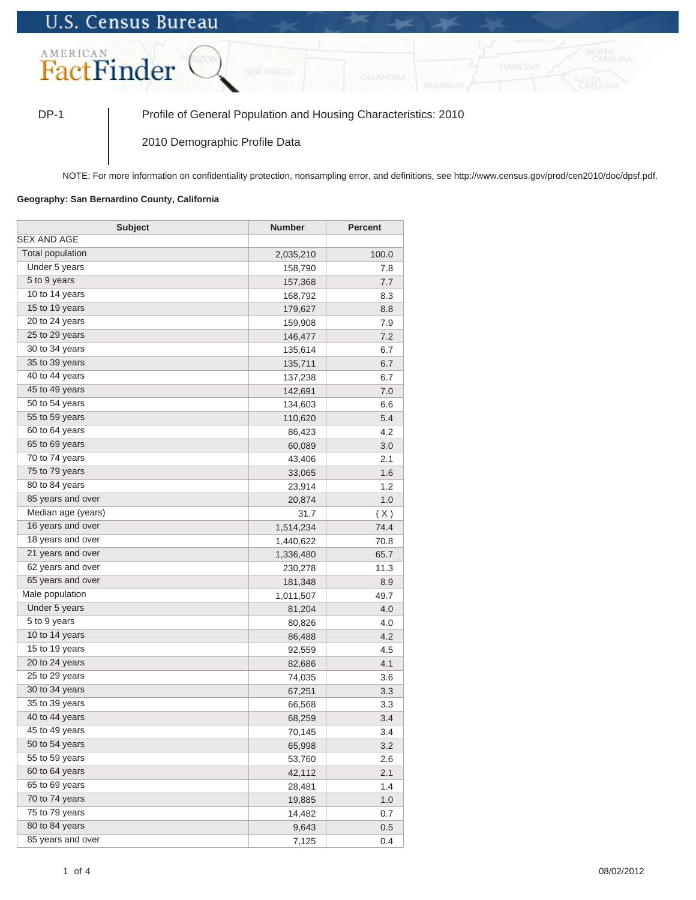## **U.S. Census Bureau**



DP-1 Profile of General Population and Housing Characteristics: 2010

2010 Demographic Profile Data

NOTE: For more information on confidentiality protection, nonsampling error, and definitions, see http://www.census.gov/prod/cen2010/doc/dpsf.pdf.

## **Geography: San Bernardino County, California**

| <b>Subject</b>     | <b>Number</b> | <b>Percent</b> |
|--------------------|---------------|----------------|
| <b>SEX AND AGE</b> |               |                |
| Total population   | 2,035,210     | 100.0          |
| Under 5 years      | 158,790       | 7.8            |
| 5 to 9 years       | 157,368       | 7.7            |
| 10 to 14 years     | 168,792       | 8.3            |
| 15 to 19 years     | 179,627       | 8.8            |
| 20 to 24 years     | 159,908       | 7.9            |
| 25 to 29 years     | 146,477       | 7.2            |
| 30 to 34 years     | 135,614       | 6.7            |
| 35 to 39 years     | 135,711       | 6.7            |
| 40 to 44 years     | 137,238       | 6.7            |
| 45 to 49 years     | 142,691       | 7.0            |
| 50 to 54 years     | 134,603       | 6.6            |
| 55 to 59 years     | 110,620       | 5.4            |
| 60 to 64 years     | 86,423        | 4.2            |
| 65 to 69 years     | 60,089        | 3.0            |
| 70 to 74 years     | 43,406        | 2.1            |
| 75 to 79 years     | 33,065        | 1.6            |
| 80 to 84 years     | 23,914        | 1.2            |
| 85 years and over  | 20,874        | 1.0            |
| Median age (years) | 31.7          | (X)            |
| 16 years and over  | 1,514,234     | 74.4           |
| 18 years and over  | 1,440,622     | 70.8           |
| 21 years and over  | 1,336,480     | 65.7           |
| 62 years and over  | 230,278       | 11.3           |
| 65 years and over  | 181,348       | 8.9            |
| Male population    | 1,011,507     | 49.7           |
| Under 5 years      | 81,204        | 4.0            |
| 5 to 9 years       | 80,826        | 4.0            |
| 10 to 14 years     | 86,488        | 4.2            |
| 15 to 19 years     | 92,559        | 4.5            |
| 20 to 24 years     | 82,686        | 4.1            |
| 25 to 29 years     | 74,035        | 3.6            |
| 30 to 34 years     | 67,251        | 3.3            |
| 35 to 39 years     | 66,568        | 3.3            |
| 40 to 44 years     | 68,259        | 3.4            |
| 45 to 49 years     | 70,145        | 3.4            |
| 50 to 54 years     | 65,998        | 3.2            |
| 55 to 59 years     | 53,760        | 2.6            |
| 60 to 64 years     | 42,112        | 2.1            |
| 65 to 69 years     | 28,481        | 1.4            |
| 70 to 74 years     | 19,885        | 1.0            |
| 75 to 79 years     | 14,482        | 0.7            |
| 80 to 84 years     | 9,643         | 0.5            |
| 85 years and over  | 7,125         | 0.4            |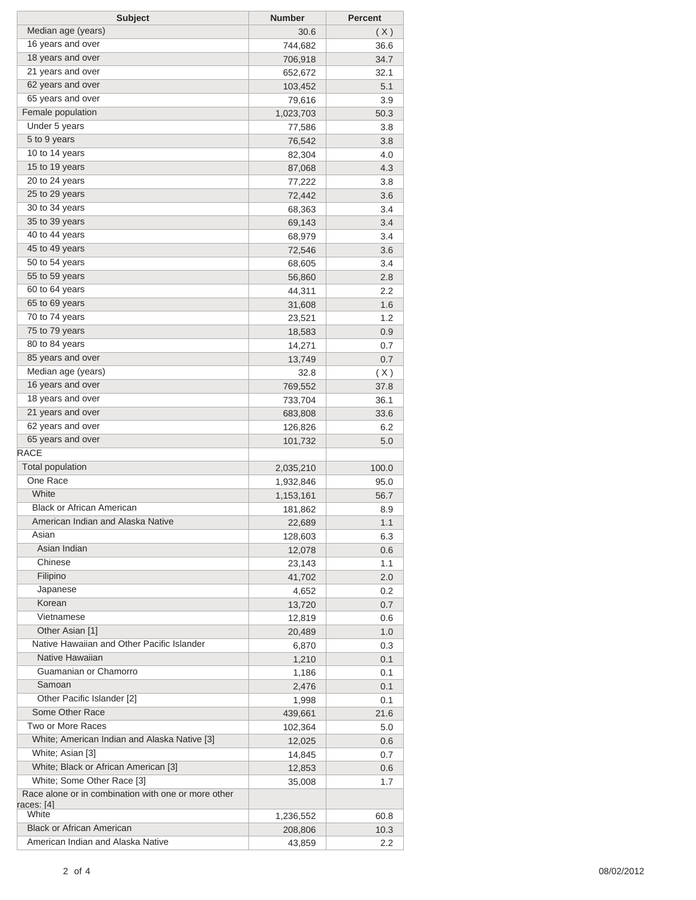| <b>Subject</b>                                      | <b>Number</b> | <b>Percent</b> |
|-----------------------------------------------------|---------------|----------------|
| Median age (years)                                  | 30.6          | (X)            |
| 16 years and over                                   | 744,682       | 36.6           |
| 18 years and over                                   | 706,918       | 34.7           |
| 21 years and over                                   | 652,672       | 32.1           |
| 62 years and over                                   | 103,452       | 5.1            |
| 65 years and over                                   | 79,616        | 3.9            |
| Female population                                   | 1,023,703     | 50.3           |
| Under 5 years                                       | 77,586        | 3.8            |
| 5 to 9 years                                        | 76,542        | 3.8            |
| 10 to 14 years                                      | 82,304        | 4.0            |
| 15 to 19 years                                      | 87,068        | 4.3            |
| 20 to 24 years                                      | 77,222        | 3.8            |
| 25 to 29 years                                      | 72,442        | 3.6            |
| 30 to 34 years                                      | 68,363        | 3.4            |
| 35 to 39 years                                      | 69,143        | 3.4            |
| 40 to 44 years                                      | 68,979        | 3.4            |
| 45 to 49 years                                      | 72,546        | 3.6            |
| 50 to 54 years                                      | 68,605        | 3.4            |
| 55 to 59 years                                      | 56,860        | 2.8            |
| 60 to 64 years                                      | 44,311        | $2.2\,$        |
| 65 to 69 years                                      | 31,608        | 1.6            |
| 70 to 74 years                                      | 23,521        | 1.2            |
| 75 to 79 years                                      | 18,583        | 0.9            |
| 80 to 84 years                                      | 14,271        | 0.7            |
| 85 years and over                                   | 13,749        | 0.7            |
| Median age (years)                                  | 32.8          | (X)            |
| 16 years and over                                   | 769,552       | 37.8           |
| 18 years and over                                   | 733,704       | 36.1           |
| 21 years and over                                   | 683,808       | 33.6           |
| 62 years and over                                   | 126,826       | 6.2            |
| 65 years and over                                   | 101,732       | 5.0            |
| <b>RACE</b>                                         |               |                |
| <b>Total population</b>                             | 2,035,210     | 100.0          |
| One Race                                            | 1,932,846     | 95.0           |
| White                                               | 1,153,161     | 56.7           |
| <b>Black or African American</b>                    | 181,862       | 8.9            |
| American Indian and Alaska Native                   | 22,689        | 1.1            |
| Asian                                               | 128,603       | 6.3            |
| Asian Indian                                        | 12,078        | 0.6            |
| Chinese                                             | 23,143        | 1.1            |
| Filipino                                            | 41,702        | 2.0            |
| Japanese                                            | 4,652         | 0.2            |
| Korean                                              | 13,720        | 0.7            |
| Vietnamese                                          | 12,819        | 0.6            |
| Other Asian [1]                                     | 20,489        | 1.0            |
| Native Hawaiian and Other Pacific Islander          | 6,870         | 0.3            |
| Native Hawaiian                                     | 1,210         | 0.1            |
| Guamanian or Chamorro                               | 1,186         | 0.1            |
| Samoan                                              | 2,476         | 0.1            |
| Other Pacific Islander [2]                          | 1,998         | 0.1            |
| Some Other Race                                     | 439,661       | 21.6           |
| Two or More Races                                   | 102,364       | 5.0            |
| White; American Indian and Alaska Native [3]        | 12,025        | 0.6            |
| White; Asian [3]                                    | 14,845        | 0.7            |
| White; Black or African American [3]                | 12,853        | 0.6            |
| White; Some Other Race [3]                          | 35,008        | 1.7            |
| Race alone or in combination with one or more other |               |                |
| races: [4]                                          |               |                |
| White                                               | 1,236,552     | 60.8           |
| <b>Black or African American</b>                    | 208,806       | 10.3           |
| American Indian and Alaska Native                   | 43,859        | 2.2            |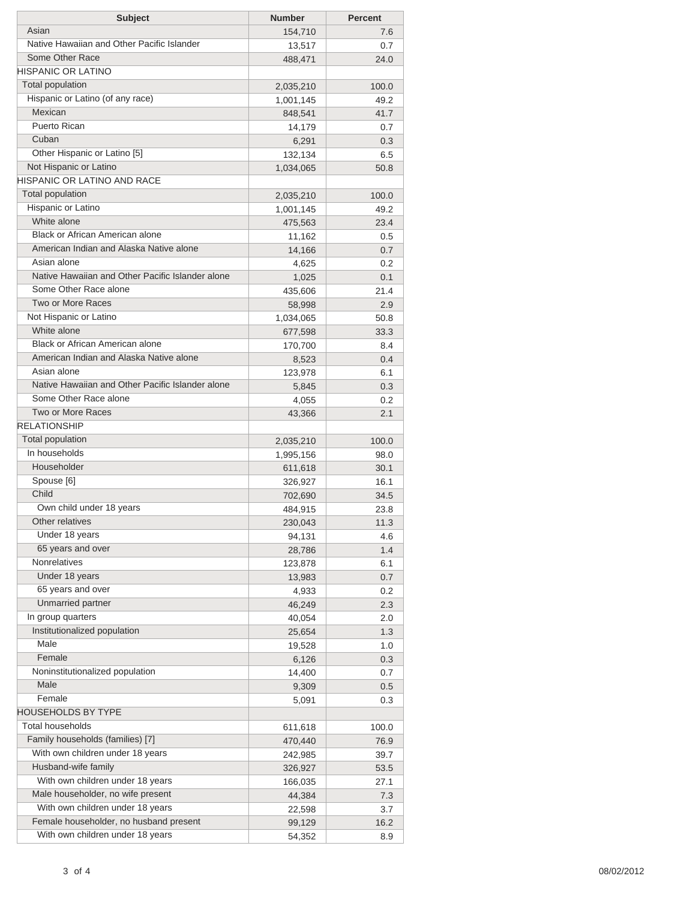| <b>Subject</b>                                   | <b>Number</b> | <b>Percent</b> |
|--------------------------------------------------|---------------|----------------|
| Asian                                            | 154,710       | 7.6            |
| Native Hawaiian and Other Pacific Islander       | 13,517        | 0.7            |
| Some Other Race                                  | 488,471       | 24.0           |
| <b>HISPANIC OR LATINO</b>                        |               |                |
| Total population                                 | 2,035,210     | 100.0          |
| Hispanic or Latino (of any race)                 | 1,001,145     | 49.2           |
| Mexican                                          | 848,541       | 41.7           |
| <b>Puerto Rican</b>                              | 14,179        | 0.7            |
| Cuban                                            | 6,291         | 0.3            |
| Other Hispanic or Latino [5]                     | 132,134       | 6.5            |
| Not Hispanic or Latino                           | 1,034,065     | 50.8           |
| HISPANIC OR LATINO AND RACE                      |               |                |
| Total population                                 | 2,035,210     | 100.0          |
| Hispanic or Latino                               | 1,001,145     | 49.2           |
| White alone                                      | 475,563       | 23.4           |
| Black or African American alone                  | 11,162        | 0.5            |
| American Indian and Alaska Native alone          | 14,166        | 0.7            |
| Asian alone                                      | 4,625         | 0.2            |
| Native Hawaiian and Other Pacific Islander alone | 1,025         | 0.1            |
| Some Other Race alone                            | 435,606       | 21.4           |
| Two or More Races                                | 58,998        | 2.9            |
| Not Hispanic or Latino                           | 1,034,065     | 50.8           |
| White alone                                      |               | 33.3           |
| Black or African American alone                  | 677,598       | 8.4            |
| American Indian and Alaska Native alone          | 170,700       |                |
| Asian alone                                      | 8,523         | 0.4            |
| Native Hawaiian and Other Pacific Islander alone | 123,978       | 6.1            |
| Some Other Race alone                            | 5,845         | 0.3            |
| Two or More Races                                | 4,055         | 0.2            |
| <b>RELATIONSHIP</b>                              | 43,366        | 2.1            |
| Total population                                 |               |                |
| In households                                    | 2,035,210     | 100.0          |
| Householder                                      | 1,995,156     | 98.0           |
|                                                  | 611,618       | 30.1           |
| Spouse [6]<br>Child                              | 326,927       | 16.1           |
|                                                  | 702,690       | 34.5           |
| Own child under 18 years                         | 484,915       | 23.8           |
| Other relatives                                  | 230,043       | 11.3           |
| Under 18 years                                   | 94,131        | 4.6            |
| 65 years and over                                | 28,786        | 1.4            |
| <b>Nonrelatives</b>                              | 123,878       | 6.1            |
| Under 18 years                                   | 13,983        | 0.7            |
| 65 years and over                                | 4,933         | 0.2            |
| Unmarried partner                                | 46,249        | 2.3            |
| In group quarters                                | 40,054        | 2.0            |
| Institutionalized population                     | 25,654        | 1.3            |
| Male                                             | 19,528        | 1.0            |
| Female                                           | 6,126         | 0.3            |
| Noninstitutionalized population                  | 14,400        | 0.7            |
| Male                                             | 9,309         | 0.5            |
| Female                                           | 5,091         | 0.3            |
| <b>HOUSEHOLDS BY TYPE</b>                        |               |                |
| <b>Total households</b>                          | 611,618       | 100.0          |
| Family households (families) [7]                 | 470,440       | 76.9           |
| With own children under 18 years                 | 242,985       | 39.7           |
| Husband-wife family                              | 326,927       | 53.5           |
| With own children under 18 years                 | 166,035       | 27.1           |
| Male householder, no wife present                | 44,384        | 7.3            |
| With own children under 18 years                 | 22,598        | 3.7            |
| Female householder, no husband present           | 99,129        | 16.2           |
| With own children under 18 years                 | 54,352        | 8.9            |